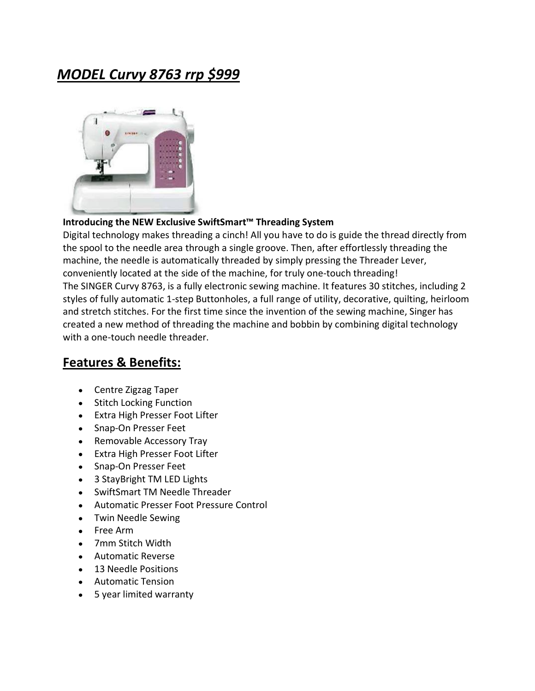## *MODEL Curvy 8763 rrp \$999*



## **Introducing the NEW Exclusive SwiftSmart™ Threading System**

Digital technology makes threading a cinch! All you have to do is guide the thread directly from the spool to the needle area through a single groove. Then, after effortlessly threading the machine, the needle is automatically threaded by simply pressing the Threader Lever, conveniently located at the side of the machine, for truly one-touch threading! The SINGER Curvy 8763, is a fully electronic sewing machine. It features 30 stitches, including 2 styles of fully automatic 1-step Buttonholes, a full range of utility, decorative, quilting, heirloom and stretch stitches. For the first time since the invention of the sewing machine, Singer has created a new method of threading the machine and bobbin by combining digital technology with a one-touch needle threader.

## **Features & Benefits:**

- Centre Zigzag Taper
- Stitch Locking Function
- Extra High Presser Foot Lifter
- Snap-On Presser Feet
- Removable Accessory Tray
- Extra High Presser Foot Lifter
- Snap-On Presser Feet
- 3 StayBright TM LED Lights
- SwiftSmart TM Needle Threader
- Automatic Presser Foot Pressure Control
- Twin Needle Sewing
- Free Arm
- 7mm Stitch Width
- Automatic Reverse
- 13 Needle Positions
- Automatic Tension
- 5 year limited warranty